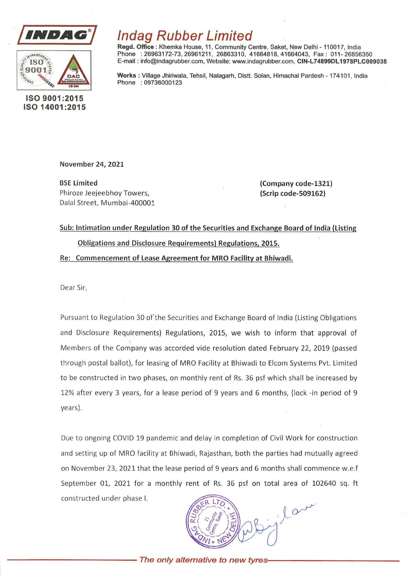



## ISO 9001 :2015 ISO 14001 :2015

## lndag Rubber Limited

Regd. Office : Khemka House, 11, Community Centre, Saket, New Delhi - 110017, India Phone : 26963172-73, 26961211, 26863310, 41664818, 41664043, Fax: 011-26856350 E-mail : info@indagrubber.com, Website: www.indagrubber.com, CIN-L74899DL 1978PLC009038

Works: Village Jhiriwala, Tehsil, Nalagarh, Distt. Solan, Himachal Pardesh - 174101, India Phone : 09736000123

November 24, 2021

BSE Limited Phiroze Jeejeebhoy Towers, Dalal Street, Mumbai-400001

(Company code-1321) (Scrip code-509162)

Sub: Intimation under Regulation 30 of the Securities and Exchange Board of India (listing Obligations and Disclosure Requirements) Regulations, 2015.

Re: Commencement of Lease Agreement for MRO Facility at Bhiwadi.

Dear Sir,

Pursuant to Regulation 30 of the Securities and Exchange Board of India (Listing Obligations and Disclosure Requirements) Regulations, 2015, we wish to inform that approval of Members of the Company was accorded vide resolution dated February 22, 2019 (passed through postal ballot), for leasing of MRO Facility at Bhiwadi to Elcom Systems Pvt. Limited to be constructed in two phases, on monthly rent of Rs. 36 psf which shall be increased by 12% after every 3 years, for a lease period of 9 years and 6 months, (lock -in period of 9 years).

Due to ongoing COVID 19 pandemic and delay in completion of Civil Work for construction and setting up of MRO facility at Bhiwadi, Rajasthan, both the parties had mutually agreed on November 23, 2021 that the lease period of 9 years and 6 months shall commence w.e.f September 01, 2021 for a monthly rent of Rs. 36 psf on total area of 102640 sq. ft constructed under phase I.